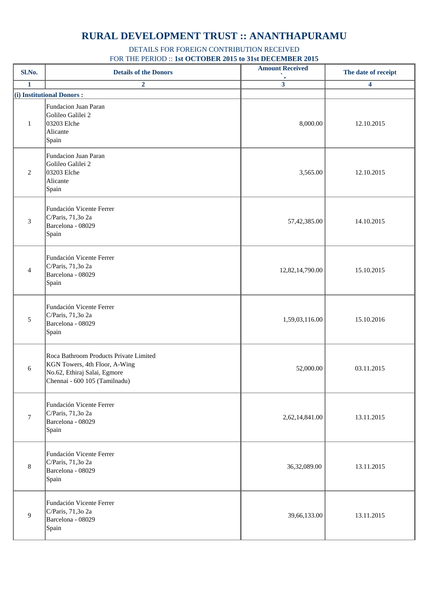## **RURAL DEVELOPMENT TRUST :: ANANTHAPURAMU**

DETAILS FOR FOREIGN CONTRIBUTION RECEIVED FOR THE PERIOD :: **1st OCTOBER 2015 to 31st DECEMBER 2015** 

| Sl.No.       | <b>Details of the Donors</b>                                                                                                             | <b>Amount Received</b>    | The date of receipt |
|--------------|------------------------------------------------------------------------------------------------------------------------------------------|---------------------------|---------------------|
| $\mathbf{1}$ | $\overline{2}$                                                                                                                           | $\overline{\overline{3}}$ | 4                   |
|              | (i) Institutional Donors:                                                                                                                |                           |                     |
| $\mathbf{1}$ | Fundacion Juan Paran<br>Golileo Galilei 2<br>$03203$ Elche<br>Alicante<br>Spain                                                          | 8,000.00                  | 12.10.2015          |
| 2            | Fundacion Juan Paran<br>Golileo Galilei 2<br>03203 Elche<br>Alicante<br>Spain                                                            | 3,565.00                  | 12.10.2015          |
| 3            | Fundación Vicente Ferrer<br>C/Paris, 71,30 2a<br>Barcelona - 08029<br>Spain                                                              | 57,42,385.00              | 14.10.2015          |
| 4            | Fundación Vicente Ferrer<br>C/Paris, 71,30 2a<br>Barcelona - 08029<br>Spain                                                              | 12,82,14,790.00           | 15.10.2015          |
| 5            | Fundación Vicente Ferrer<br>$C/Paris$ , 71,30 2a<br>Barcelona - 08029<br>Spain                                                           | 1,59,03,116.00            | 15.10.2016          |
| 6            | Roca Bathroom Products Private Limited<br>KGN Towers, 4th Floor, A-Wing<br>No.62, Ethiraj Salai, Egmore<br>Chennai - 600 105 (Tamilnadu) | 52,000.00                 | 03.11.2015          |
| $\tau$       | Fundación Vicente Ferrer<br>$C/Paris$ , 71,30 2a<br>Barcelona - 08029<br>Spain                                                           | 2,62,14,841.00            | 13.11.2015          |
| 8            | Fundación Vicente Ferrer<br>$C/Paris$ , 71,30 2a<br>Barcelona - 08029<br>Spain                                                           | 36,32,089.00              | 13.11.2015          |
| 9            | Fundación Vicente Ferrer<br>$C/Paris$ , 71,30 2a<br>Barcelona - 08029<br>Spain                                                           | 39,66,133.00              | 13.11.2015          |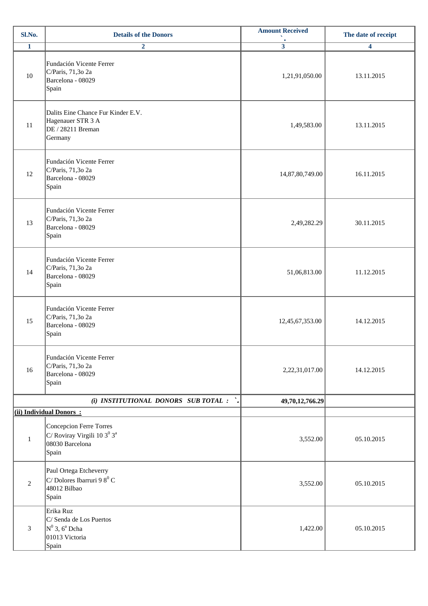| Sl.No.       | <b>Details of the Donors</b>                                                                    | <b>Amount Received</b>    | The date of receipt     |
|--------------|-------------------------------------------------------------------------------------------------|---------------------------|-------------------------|
| $\mathbf{1}$ | $\overline{2}$                                                                                  | $\overline{\overline{3}}$ | $\overline{\mathbf{4}}$ |
| 10           | Fundación Vicente Ferrer<br>C/Paris, 71,30 2a<br>Barcelona - 08029<br>Spain                     | 1,21,91,050.00            | 13.11.2015              |
| 11           | Dalits Eine Chance Fur Kinder E.V.<br>Hagenauer STR 3 A<br>DE / 28211 Breman<br>Germany         | 1,49,583.00               | 13.11.2015              |
| 12           | Fundación Vicente Ferrer<br>C/Paris, 71,30 2a<br>Barcelona - 08029<br>Spain                     | 14,87,80,749.00           | 16.11.2015              |
| 13           | Fundación Vicente Ferrer<br>$C/Paris$ , 71,30 2a<br>Barcelona - 08029<br>Spain                  | 2,49,282.29               | 30.11.2015              |
| 14           | Fundación Vicente Ferrer<br>$C/Paris$ , 71,30 2a<br>Barcelona - 08029<br>Spain                  | 51,06,813.00              | 11.12.2015              |
| 15           | Fundación Vicente Ferrer<br>$C/Paris$ , 71,30 2a<br>Barcelona - 08029<br>Spain                  | 12,45,67,353.00           | 14.12.2015              |
| 16           | Fundación Vicente Ferrer<br>C/Paris, 71,30 2a<br>Barcelona - 08029<br>Spain                     | 2,22,31,017.00            | 14.12.2015              |
|              | (i) INSTITUTIONAL DONORS SUB TOTAL :                                                            | 49,70,12,766.29           |                         |
|              | (ii) Individual Donors:                                                                         |                           |                         |
| 1            | Concepcion Ferre Torres<br>C/Roviray Virgili 10 $3^0$ $3^a$<br>08030 Barcelona<br>Spain         | 3,552.00                  | 05.10.2015              |
| 2            | Paul Ortega Etcheverry<br>$C$ Dolores Ibarruri 9 8 <sup>0</sup> C<br>48012 Bilbao<br>Spain      | 3,552.00                  | 05.10.2015              |
| 3            | Erika Ruz<br>C/ Senda de Los Puertos<br>$N^0$ 3, 6 <sup>ª</sup> Dcha<br>01013 Victoria<br>Spain | 1,422.00                  | 05.10.2015              |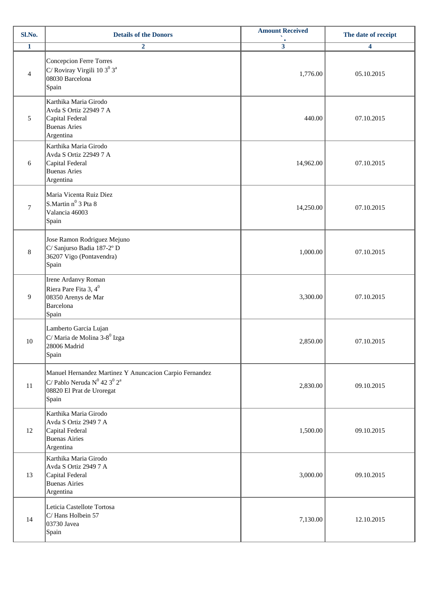| Sl.No.         | <b>Details of the Donors</b>                                                                                                          | <b>Amount Received</b>    | The date of receipt     |
|----------------|---------------------------------------------------------------------------------------------------------------------------------------|---------------------------|-------------------------|
| $\mathbf{1}$   | $\overline{2}$                                                                                                                        | $\overline{\overline{3}}$ | $\overline{\mathbf{4}}$ |
| $\overline{4}$ | Concepcion Ferre Torres<br>$C/$ Roviray Virgili 10 3 <sup>0</sup> 3 <sup>ª</sup><br>08030 Barcelona<br>Spain                          | 1,776.00                  | 05.10.2015              |
| $\mathfrak{S}$ | Karthika Maria Girodo<br>Avda S Ortiz 22949 7 A<br>Capital Federal<br><b>Buenas Aries</b><br>Argentina                                | 440.00                    | 07.10.2015              |
| 6              | Karthika Maria Girodo<br>Avda S Ortiz 22949 7 A<br>Capital Federal<br><b>Buenas Aries</b><br>Argentina                                | 14,962.00                 | 07.10.2015              |
| $\tau$         | Maria Vicenta Ruiz Diez<br>S.Martin n <sup>0</sup> 3 Pta 8<br>Valancia 46003<br>Spain                                                 | 14,250.00                 | 07.10.2015              |
| 8              | Jose Ramon Rodriguez Mejuno<br>C/ Sanjurso Badia 187-2° D<br>36207 Vigo (Pontavendra)<br>Spain                                        | 1,000.00                  | 07.10.2015              |
| 9              | Irene Ardanvy Roman<br>Riera Pare Fita 3, $4^0$<br>08350 Arenys de Mar<br>Barcelona<br>Spain                                          | 3,300.00                  | 07.10.2015              |
| $10\,$         | Lamberto Garcia Lujan<br>$C/M$ aria de Molina 3-8 $^0$ Izga<br>28006 Madrid<br>Spain                                                  | 2,850.00                  | 07.10.2015              |
| 11             | Manuel Hernandez Martinez Y Anuncacion Carpio Fernandez<br>C/ Pablo Neruda $N^0$ 42 $3^0$ $2^a$<br>08820 El Prat de Uroregat<br>Spain | 2,830.00                  | 09.10.2015              |
| 12             | Karthika Maria Girodo<br>Avda S Ortiz 2949 7 A<br>Capital Federal<br><b>Buenas Airies</b><br>Argentina                                | 1,500.00                  | 09.10.2015              |
| 13             | Karthika Maria Girodo<br>Avda S Ortiz 2949 7 A<br>Capital Federal<br><b>Buenas Airies</b><br>Argentina                                | 3,000.00                  | 09.10.2015              |
| 14             | Leticia Castellote Tortosa<br>C/Hans Holbein 57<br>03730 Javea<br>Spain                                                               | 7,130.00                  | 12.10.2015              |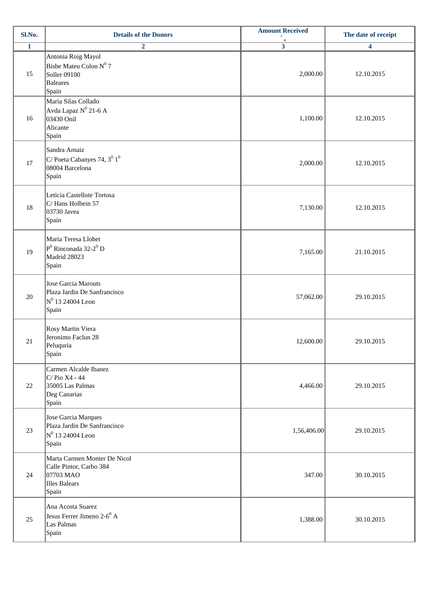| Sl.No.       | <b>Details of the Donors</b>                                                                          | <b>Amount Received</b>    | The date of receipt     |
|--------------|-------------------------------------------------------------------------------------------------------|---------------------------|-------------------------|
| $\mathbf{1}$ | $\overline{2}$                                                                                        | $\overline{\overline{3}}$ | $\overline{\mathbf{4}}$ |
| 15           | Antonia Roig Mayol<br>Bisbe Mateu Colon Nº 7<br><b>Soller 09100</b><br><b>Baleares</b><br>Spain       | 2,000.00                  | 12.10.2015              |
| 16           | Maria Silas Collado<br>Avda Lapaz $\mbox{N}^0$ 21-6 A<br>03430 Onil<br>Alicante<br>Spain              | 1,100.00                  | 12.10.2015              |
| 17           | Sandra Arnaiz<br>C/Poeta Cabanyes 74, $3^0$ $1^0$<br>08004 Barcelona<br>Spain                         | 2,000.00                  | 12.10.2015              |
| 18           | Leticia Castellote Tortosa<br>C/Hans Holbein 57<br>03730 Javea<br>Spain                               | 7,130.00                  | 12.10.2015              |
| 19           | Maria Teresa Llobet<br>$P^0$ Rinconada 32-2 $^0$ D<br>Madrid 28023<br>Spain                           | 7,165.00                  | 21.10.2015              |
| 20           | Jose Garcia Marouts<br>Plaza Jardin De Sanfrancisco<br>$N^0$ 13 24004 Leon<br>Spain                   | 57,062.00                 | 29.10.2015              |
| 21           | Rosy Martin Viera<br>Jeronimo Faclun 28<br>Peluquria<br>Spain                                         | 12,600.00                 | 29.10.2015              |
| 22           | Carmen Alcalde Ibanez<br>$C/$ Pio X4 - 44<br>35005 Las Palmas<br>Deg Canarias<br>Spain                | 4,466.00                  | 29.10.2015              |
| 23           | Jose Garcia Marques<br>Plaza Jardin De Sanfrancisco<br>$N^0$ 13 24004 Leon<br>Spain                   | 1,56,406.00               | 29.10.2015              |
| 24           | Marta Carmen Monter De Nicol<br>Calle Pintor, Carbo 384<br>07703 MAO<br><b>Illes Balears</b><br>Spain | 347.00                    | 30.10.2015              |
| 25           | Ana Acosta Suarez<br>Jesus Ferrer Jimeno 2-6 <sup>0</sup> A<br>Las Palmas<br>Spain                    | 1,388.00                  | 30.10.2015              |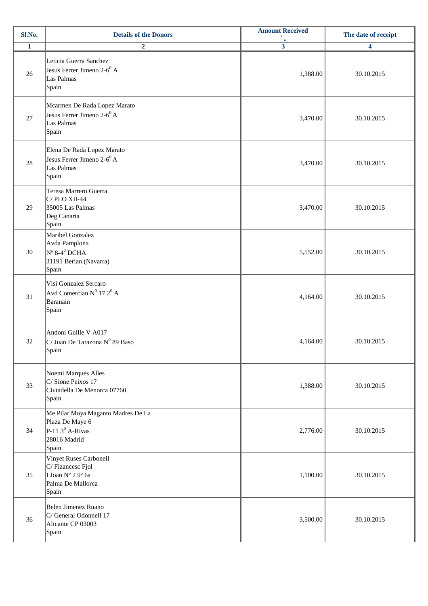| Sl.No.         | <b>Details of the Donors</b>                                                                        | <b>Amount Received</b>    | The date of receipt     |
|----------------|-----------------------------------------------------------------------------------------------------|---------------------------|-------------------------|
| $\overline{1}$ | $\overline{2}$                                                                                      | $\overline{\overline{3}}$ | $\overline{\mathbf{4}}$ |
| 26             | Leticia Guerra Sanchez<br>Jesus Ferrer Jimeno 2-6 <sup>0</sup> A<br>Las Palmas<br>Spain             | 1,388.00                  | 30.10.2015              |
| 27             | Mcarmen De Rada Lopez Marato<br>Jesus Ferrer Jimeno $2-6^0$ A<br>Las Palmas<br>Spain                | 3,470.00                  | 30.10.2015              |
| 28             | Elena De Rada Lopez Marato<br>Jesus Ferrer Jimeno 2-6 <sup>0</sup> A<br>Las Palmas<br>Spain         | 3,470.00                  | 30.10.2015              |
| 29             | Teresa Marrero Guerra<br>$C/$ PLO XII-44<br>35005 Las Palmas<br>Deg Canaria<br>Spain                | 3,470.00                  | 30.10.2015              |
| 30             | Maribel Gonzalez<br>Avda Pamplona<br>$N^{\circ}$ 8-4 $^0$ DCHA<br>31191 Berian (Navarra)<br>Spain   | 5,552.00                  | 30.10.2015              |
| 31             | Visi Gonzalez Sercaro<br>Avd Comercian $N^0$ 17 $2^0$ A<br>Baranain<br>Spain                        | 4,164.00                  | 30.10.2015              |
| 32             | Andoni Guille V A017<br>$C/$ Juan De Tarazona Nº 89 Baso<br>Spain                                   | 4,164.00                  | 30.10.2015              |
| 33             | Noemi Marques Alles<br>$C/$ Sione Peixos 17<br>Ciutadella De Menorca 07760<br>Spain                 | 1,388.00                  | 30.10.2015              |
| 34             | Me Pilar Moya Maganto Madres De La<br>Plaza De Maye 6<br>$P-113^0$ A-Rivas<br>28016 Madrid<br>Spain | 2,776.00                  | 30.10.2015              |
| 35             | Vinyet Ruses Carbonell<br>C/Fizancesc Fjol<br>I Joan Nº 2 9º 6a<br>Palma De Mallorca<br>Spain       | 1,100.00                  | 30.10.2015              |
| 36             | Belen Jimenez Ruano<br>C/ General Odonnell 17<br>Alicante CP 03003<br>Spain                         | 3,500.00                  | 30.10.2015              |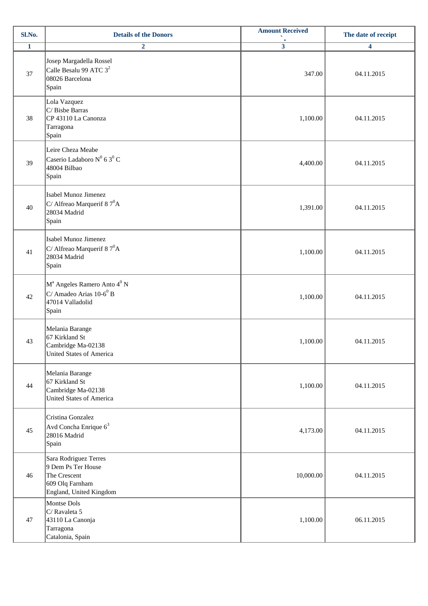| Sl.No.       | <b>Details of the Donors</b>                                                                                        | <b>Amount Received</b> | The date of receipt |
|--------------|---------------------------------------------------------------------------------------------------------------------|------------------------|---------------------|
| $\mathbf{1}$ | $\overline{2}$                                                                                                      | 3                      | 4                   |
| 37           | Josep Margadella Rossel<br>Calle Besalu 99 ATC 3 <sup>2</sup><br>08026 Barcelona<br>Spain                           | 347.00                 | 04.11.2015          |
| 38           | Lola Vazquez<br>C/Bisbe Barras<br>CP 43110 La Canonza<br>Tarragona<br>Spain                                         | 1,100.00               | 04.11.2015          |
| 39           | Leire Cheza Meabe<br>Caserio Ladaboro Nº 63º C<br>48004 Bilbao<br>Spain                                             | 4,400.00               | 04.11.2015          |
| 40           | Isabel Munoz Jimenez<br>C/ Alfreao Marquerif 8 $7^0$ A<br>28034 Madrid<br>Spain                                     | 1,391.00               | 04.11.2015          |
| 41           | Isabel Munoz Jimenez<br>C/ Alfreao Marquerif 8 $7^0$ A<br>28034 Madrid<br>Spain                                     | 1,100.00               | 04.11.2015          |
| 42           | M <sup>ª</sup> Angeles Ramero Anto 4 <sup>0</sup> N<br>$C/$ Amadeo Arias 10-6 $^{0}$ B<br>47014 Valladolid<br>Spain | 1,100.00               | 04.11.2015          |
| 43           | Melania Barange<br>67 Kirkland St<br>Cambridge Ma-02138<br><b>United States of America</b>                          | 1,100.00               | 04.11.2015          |
| 44           | Melania Barange<br>67 Kirkland St<br>Cambridge Ma-02138<br><b>United States of America</b>                          | 1,100.00               | 04.11.2015          |
| 45           | Cristina Gonzalez<br>Avd Concha Enrique $6^3$<br>28016 Madrid<br>Spain                                              | 4,173.00               | 04.11.2015          |
| 46           | Sara Rodriguez Terres<br>9 Dem Ps Ter House<br>The Crescent<br>609 Olq Farnham<br>England, United Kingdom           | 10,000.00              | 04.11.2015          |
| 47           | Montse Dols<br>C/ Ravaleta 5<br>43110 La Canonja<br>Tarragona<br>Catalonia, Spain                                   | 1,100.00               | 06.11.2015          |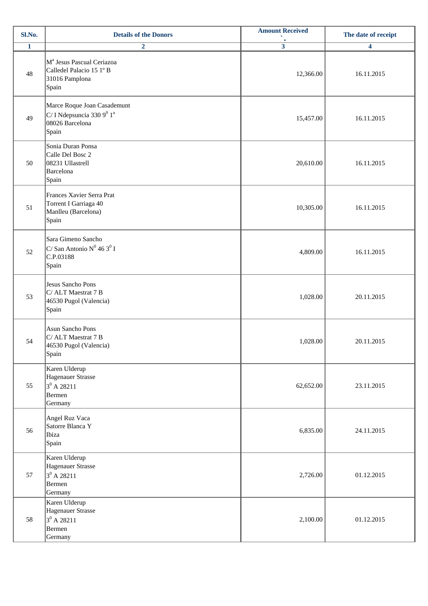| Sl.No.       | <b>Details of the Donors</b>                                                                        | <b>Amount Received</b>    | The date of receipt     |
|--------------|-----------------------------------------------------------------------------------------------------|---------------------------|-------------------------|
| $\mathbf{1}$ | $\overline{2}$                                                                                      | $\overline{\overline{3}}$ | $\overline{\mathbf{4}}$ |
| 48           | M <sup>a</sup> Jesus Pascual Ceriazoa<br>Calledel Palacio 15 1º B<br>31016 Pamplona<br>Spain        | 12,366.00                 | 16.11.2015              |
| 49           | Marce Roque Joan Casademunt<br>C/I Ndepsuncia 330 9 $^0$ 1 <sup>a</sup><br>08026 Barcelona<br>Spain | 15,457.00                 | 16.11.2015              |
| 50           | Sonia Duran Ponsa<br>Calle Del Bosc 2<br>08231 Ullastrell<br>Barcelona<br>Spain                     | 20,610.00                 | 16.11.2015              |
| 51           | Frances Xavier Serra Prat<br>Torrent I Garriaga 40<br>Manlleu (Barcelona)<br>Spain                  | 10,305.00                 | 16.11.2015              |
| 52           | Sara Gimeno Sancho<br>$C/$ San Antonio N <sup>0</sup> 46 3 <sup>0</sup> I<br>C.P.03188<br>Spain     | 4,809.00                  | 16.11.2015              |
| 53           | Jesus Sancho Pons<br>C/ ALT Maestrat 7 B<br>46530 Pugol (Valencia)<br>Spain                         | 1,028.00                  | 20.11.2015              |
| 54           | Asun Sancho Pons<br>C/ ALT Maestrat 7 B<br>46530 Pugol (Valencia)<br>Spain                          | 1,028.00                  | 20.11.2015              |
| 55           | Karen Ulderup<br>Hagenauer Strasse<br>$3^0$ A 28211<br>Bermen<br>Germany                            | 62,652.00                 | 23.11.2015              |
| 56           | Angel Ruz Vaca<br>Satorre Blanca Y<br>Ibiza<br>Spain                                                | 6,835.00                  | 24.11.2015              |
| 57           | Karen Ulderup<br>Hagenauer Strasse<br>$3^{0}$ A 28211<br>Bermen<br>Germany                          | 2,726.00                  | 01.12.2015              |
| 58           | Karen Ulderup<br>Hagenauer Strasse<br>$3^0$ A 28211<br>Bermen<br>Germany                            | 2,100.00                  | 01.12.2015              |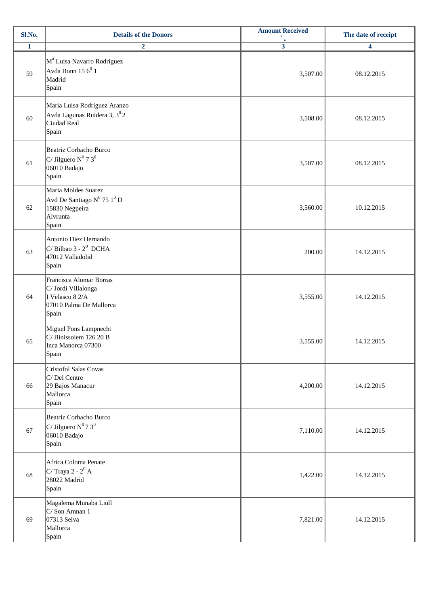| Sl.No.         | <b>Details of the Donors</b>                                                                          | <b>Amount Received</b>    | The date of receipt     |
|----------------|-------------------------------------------------------------------------------------------------------|---------------------------|-------------------------|
| $\overline{1}$ | $\overline{2}$                                                                                        | $\overline{\overline{3}}$ | $\overline{\mathbf{4}}$ |
| 59             | M <sup>a</sup> Luisa Navarro Rodriguez<br>Avda Bonn 156 <sup>0</sup> 1<br>Madrid<br>Spain             | 3,507.00                  | 08.12.2015              |
| 60             | Maria Luisa Rodriguez Aranzo<br>Avda Lagunas Ruidera 3, 3 <sup>0</sup> 2<br>Ciudad Real<br>Spain      | 3,508.00                  | 08.12.2015              |
| 61             | Beatriz Corbacho Burco<br>C/ Jilguero $N^0$ 7 3 <sup>0</sup><br>06010 Badajo<br>Spain                 | 3,507.00                  | 08.12.2015              |
| 62             | Maria Moldes Suarez<br>Avd De Santiago $N^0$ 75 $1^0$ D<br>15830 Negpeira<br>Alvrunta<br>Spain        | 3,560.00                  | 10.12.2015              |
| 63             | Antonio Diez Hernando<br>$C/$ Bilbao 3 - $2^0$ DCHA<br>47012 Valladolid<br>Spain                      | 200.00                    | 14.12.2015              |
| 64             | Francisca Alomar Borras<br>C/ Jordi Villalonga<br>I Velasco 8 2/A<br>07010 Palma De Mallorca<br>Spain | 3,555.00                  | 14.12.2015              |
| 65             | Miguel Pons Lampnecht<br>C/Binissoiem 126 20 B<br>Inca Manorca 07300<br>Spain                         | 3,555.00                  | 14.12.2015              |
| 66             | Cristofol Salas Covas<br>$C/Del$ Centre<br>29 Bajos Manacur<br>Mallorca<br>Spain                      | 4,200.00                  | 14.12.2015              |
| 67             | Beatriz Corbacho Burco<br>C/ Jilguero Nº 7 3º<br>06010 Badajo<br>Spain                                | 7,110.00                  | 14.12.2015              |
| 68             | Africa Coloma Penate<br>C/Traya 2 - $2^0$ A<br>28022 Madrid<br>Spain                                  | 1,422.00                  | 14.12.2015              |
| 69             | Magalema Munaba Liull<br>$C/$ Son Amnan 1<br>07313 Selva<br>Mallorca<br>Spain                         | 7,821.00                  | 14.12.2015              |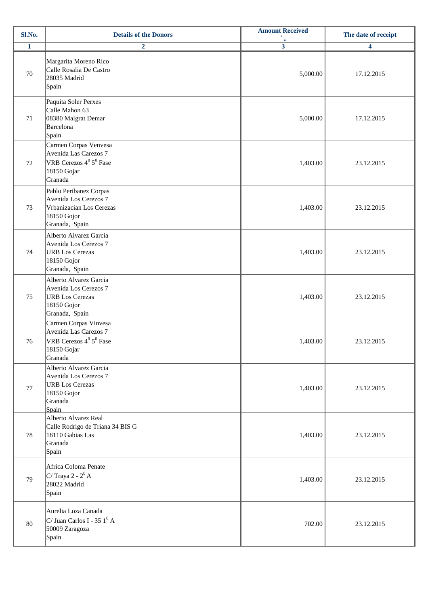| Sl.No.       | <b>Details of the Donors</b>                                                                                               | <b>Amount Received</b>    | The date of receipt     |
|--------------|----------------------------------------------------------------------------------------------------------------------------|---------------------------|-------------------------|
| $\mathbf{1}$ | $\overline{2}$                                                                                                             | $\overline{\overline{3}}$ | $\overline{\mathbf{4}}$ |
| 70           | Margarita Moreno Rico<br>Calle Rosalia De Castro<br>28035 Madrid<br>Spain                                                  | 5,000.00                  | 17.12.2015              |
| 71           | Paquita Soler Perxes<br>Calle Mahon 63<br>08380 Malgrat Demar<br>Barcelona<br>Spain                                        | 5,000.00                  | 17.12.2015              |
| 72           | Carmen Corpas Venvesa<br>Avenida Las Carezos 7<br>VRB Cerezos 4 <sup>0</sup> 5 <sup>0</sup> Fase<br>18150 Gojar<br>Granada | 1,403.00                  | 23.12.2015              |
| 73           | Pablo Peribanez Corpas<br>Avenida Los Cerezos 7<br>Vrbanizacian Los Cerezas<br>18150 Gojor<br>Granada, Spain               | 1,403.00                  | 23.12.2015              |
| 74           | Alberto Alvarez Garcia<br>Avenida Los Cerezos 7<br><b>URB</b> Los Cerezas<br>18150 Gojor<br>Granada, Spain                 | 1,403.00                  | 23.12.2015              |
| 75           | Alberto Alvarez Garcia<br>Avenida Los Cerezos 7<br><b>URB</b> Los Cerezas<br>18150 Gojor<br>Granada, Spain                 | 1,403.00                  | 23.12.2015              |
| 76           | Carmen Corpas Vinvesa<br>Avenida Las Carezos 7<br>VRB Cerezos $4^0$ 5 <sup>0</sup> Fase<br>18150 Gojar<br>Granada          | 1,403.00                  | 23.12.2015              |
| 77           | Alberto Alvarez Garcia<br>Avenida Los Cerezos 7<br><b>URB</b> Los Cerezas<br>18150 Gojor<br>Granada<br>Spain               | 1,403.00                  | 23.12.2015              |
| 78           | Alberto Alvarez Real<br>Calle Rodrigo de Triana 34 BIS G<br>18110 Gabias Las<br>Granada<br>Spain                           | 1,403.00                  | 23.12.2015              |
| 79           | Africa Coloma Penate<br>C/Traya 2 - $2^0$ A<br>28022 Madrid<br>Spain                                                       | 1,403.00                  | 23.12.2015              |
| 80           | Aurelia Loza Canada<br>$C/$ Juan Carlos I - 35 $1^0$ A<br>50009 Zaragoza<br>Spain                                          | 702.00                    | 23.12.2015              |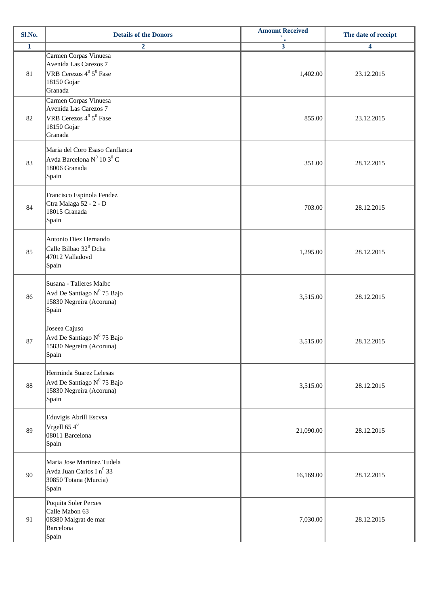| Sl.No.       | <b>Details of the Donors</b>                                                                                               | <b>Amount Received</b>    | The date of receipt     |
|--------------|----------------------------------------------------------------------------------------------------------------------------|---------------------------|-------------------------|
| $\mathbf{1}$ | $\overline{2}$                                                                                                             | $\overline{\overline{3}}$ | $\overline{\mathbf{4}}$ |
| 81           | Carmen Corpas Vinuesa<br>Avenida Las Carezos 7<br>VRB Cerezos 4 <sup>0</sup> 5 <sup>0</sup> Fase<br>18150 Gojar<br>Granada | 1,402.00                  | 23.12.2015              |
| 82           | Carmen Corpas Vinuesa<br>Avenida Las Carezos 7<br>VRB Cerezos 4 <sup>0</sup> 5 <sup>0</sup> Fase<br>18150 Gojar<br>Granada | 855.00                    | 23.12.2015              |
| 83           | Maria del Coro Esaso Canflanca<br>Avda Barcelona N $^{0}$ 10 3 $^{0}$ C<br>18006 Granada<br>Spain                          | 351.00                    | 28.12.2015              |
| 84           | Francisco Espinola Fendez<br>Ctra Malaga 52 - 2 - D<br>18015 Granada<br>Spain                                              | 703.00                    | 28.12.2015              |
| 85           | Antonio Diez Hernando<br>Calle Bilbao 32 <sup>0</sup> Dcha<br>47012 Valladovd<br>Spain                                     | 1,295.00                  | 28.12.2015              |
| 86           | Susana - Talleres Malbc<br>Avd De Santiago Nº 75 Bajo<br>15830 Negreira (Acoruna)<br>Spain                                 | 3,515.00                  | 28.12.2015              |
| 87           | Joseea Cajuso<br>Avd De Santiago Nº 75 Bajo<br>15830 Negreira (Acoruna)<br>Spain                                           | 3,515.00                  | 28.12.2015              |
| 88           | Herminda Suarez Lelesas<br>Avd De Santiago Nº 75 Bajo<br>15830 Negreira (Acoruna)<br>Spain                                 | 3,515.00                  | 28.12.2015              |
| 89           | Eduvigis Abrill Escvsa<br>Vrgell 65 $4^0$<br>08011 Barcelona<br>Spain                                                      | 21,090.00                 | 28.12.2015              |
| 90           | Maria Jose Martinez Tudela<br>Avda Juan Carlos I nº 33<br>30850 Totana (Murcia)<br>Spain                                   | 16,169.00                 | 28.12.2015              |
| 91           | Poquita Soler Perxes<br>Calle Mabon 63<br>08380 Malgrat de mar<br>Barcelona<br>Spain                                       | 7,030.00                  | 28.12.2015              |